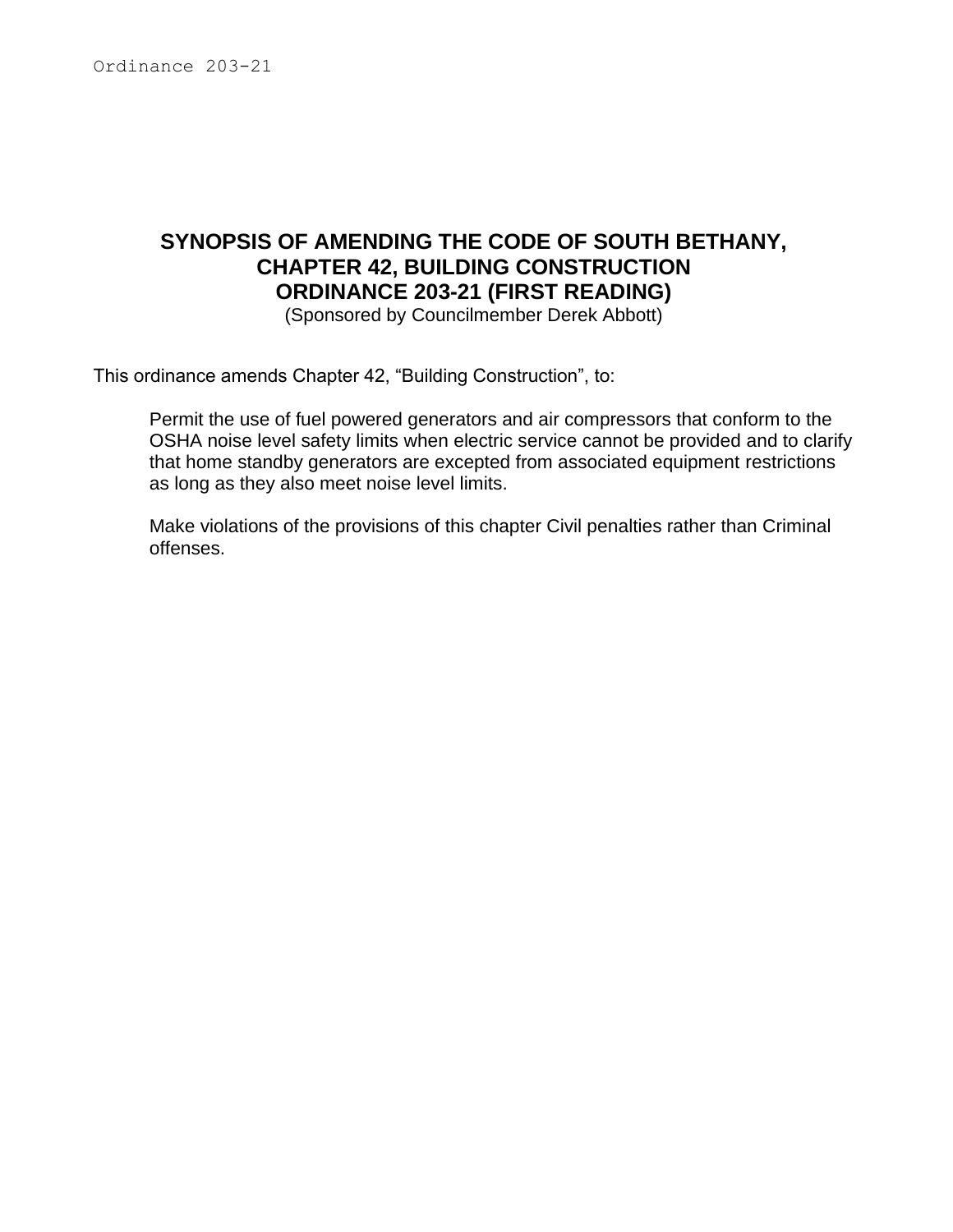# **SYNOPSIS OF AMENDING THE CODE OF SOUTH BETHANY, CHAPTER 42, BUILDING CONSTRUCTION ORDINANCE 203-21 (FIRST READING)**

(Sponsored by Councilmember Derek Abbott)

This ordinance amends Chapter 42, "Building Construction", to:

Permit the use of fuel powered generators and air compressors that conform to the OSHA noise level safety limits when electric service cannot be provided and to clarify that home standby generators are excepted from associated equipment restrictions as long as they also meet noise level limits.

Make violations of the provisions of this chapter Civil penalties rather than Criminal offenses.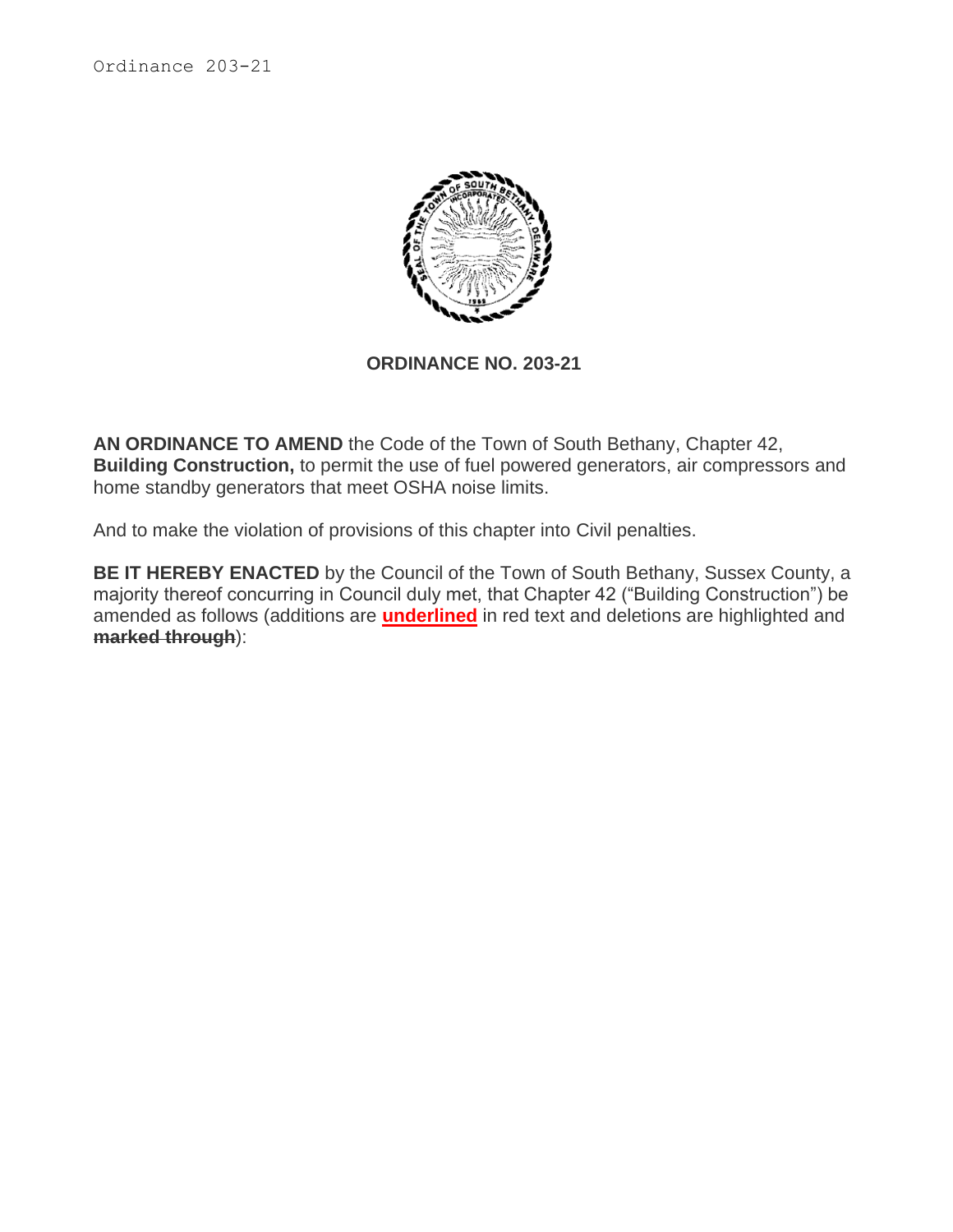Ordinance 203-21



#### **ORDINANCE NO. 203-21**

**AN ORDINANCE TO AMEND** the Code of the Town of South Bethany, Chapter 42, **Building Construction,** to permit the use of fuel powered generators, air compressors and home standby generators that meet OSHA noise limits.

And to make the violation of provisions of this chapter into Civil penalties.

**BE IT HEREBY ENACTED** by the Council of the Town of South Bethany, Sussex County, a majority thereof concurring in Council duly met, that Chapter 42 ("Building Construction") be amended as follows (additions are **underlined** in red text and deletions are highlighted and **marked through**):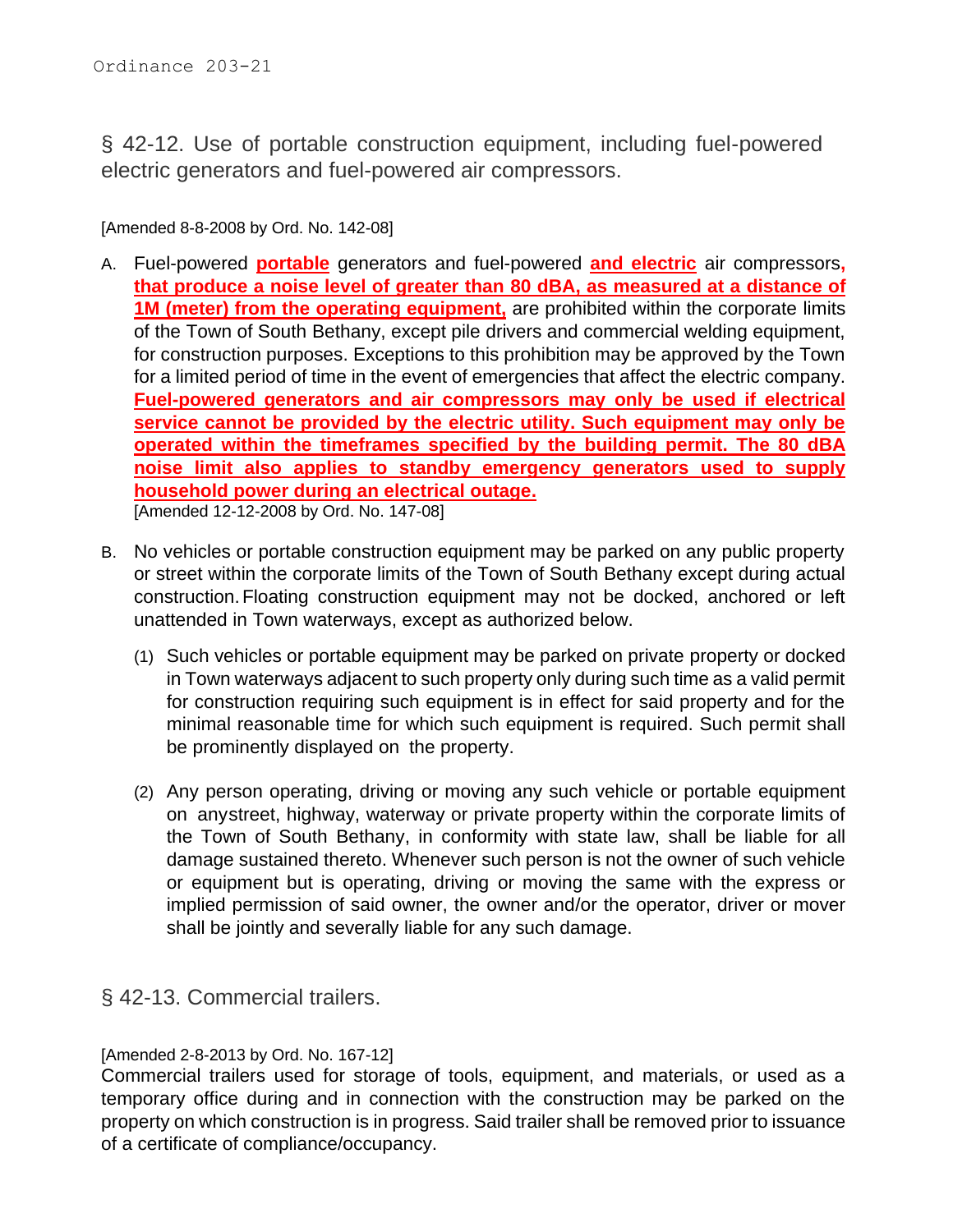§ 42-12. Use of portable construction equipment, including fuel-powered electric generators and fuel-powered air compressors.

[Amended 8-8-2008 by Ord. No. 142-08]

- A. Fuel-powered **portable** generators and fuel-powered **and electric** air compressors**, that produce a noise level of greater than 80 dBA, as measured at a distance of 1M (meter) from the operating equipment,** are prohibited within the corporate limits of the Town of South Bethany, except pile drivers and commercial welding equipment, for construction purposes. Exceptions to this prohibition may be approved by the Town for a limited period of time in the event of emergencies that affect the electric company. **Fuel-powered generators and air compressors may only be used if electrical service cannot be provided by the electric utility. Such equipment may only be operated within the timeframes specified by the building permit. The 80 dBA noise limit also applies to standby emergency generators used to supply household power during an electrical outage.** [Amended 12-12-2008 by Ord. No. 147-08]
- B. No vehicles or portable construction equipment may be parked on any public property or street within the corporate limits of the Town of South Bethany except during actual construction.Floating construction equipment may not be docked, anchored or left unattended in Town waterways, except as authorized below.
	- (1) Such vehicles or portable equipment may be parked on private property or docked in Town waterways adjacent to such property only during such time as a valid permit for construction requiring such equipment is in effect for said property and for the minimal reasonable time for which such equipment is required. Such permit shall be prominently displayed on the property.
	- (2) Any person operating, driving or moving any such vehicle or portable equipment on anystreet, highway, waterway or private property within the corporate limits of the Town of South Bethany, in conformity with state law, shall be liable for all damage sustained thereto. Whenever such person is not the owner of such vehicle or equipment but is operating, driving or moving the same with the express or implied permission of said owner, the owner and/or the operator, driver or mover shall be jointly and severally liable for any such damage.

### § 42-13. Commercial trailers.

#### [Amended 2-8-2013 by Ord. No. 167-12]

Commercial trailers used for storage of tools, equipment, and materials, or used as a temporary office during and in connection with the construction may be parked on the property on which construction is in progress. Said trailer shall be removed prior to issuance of a certificate of compliance/occupancy.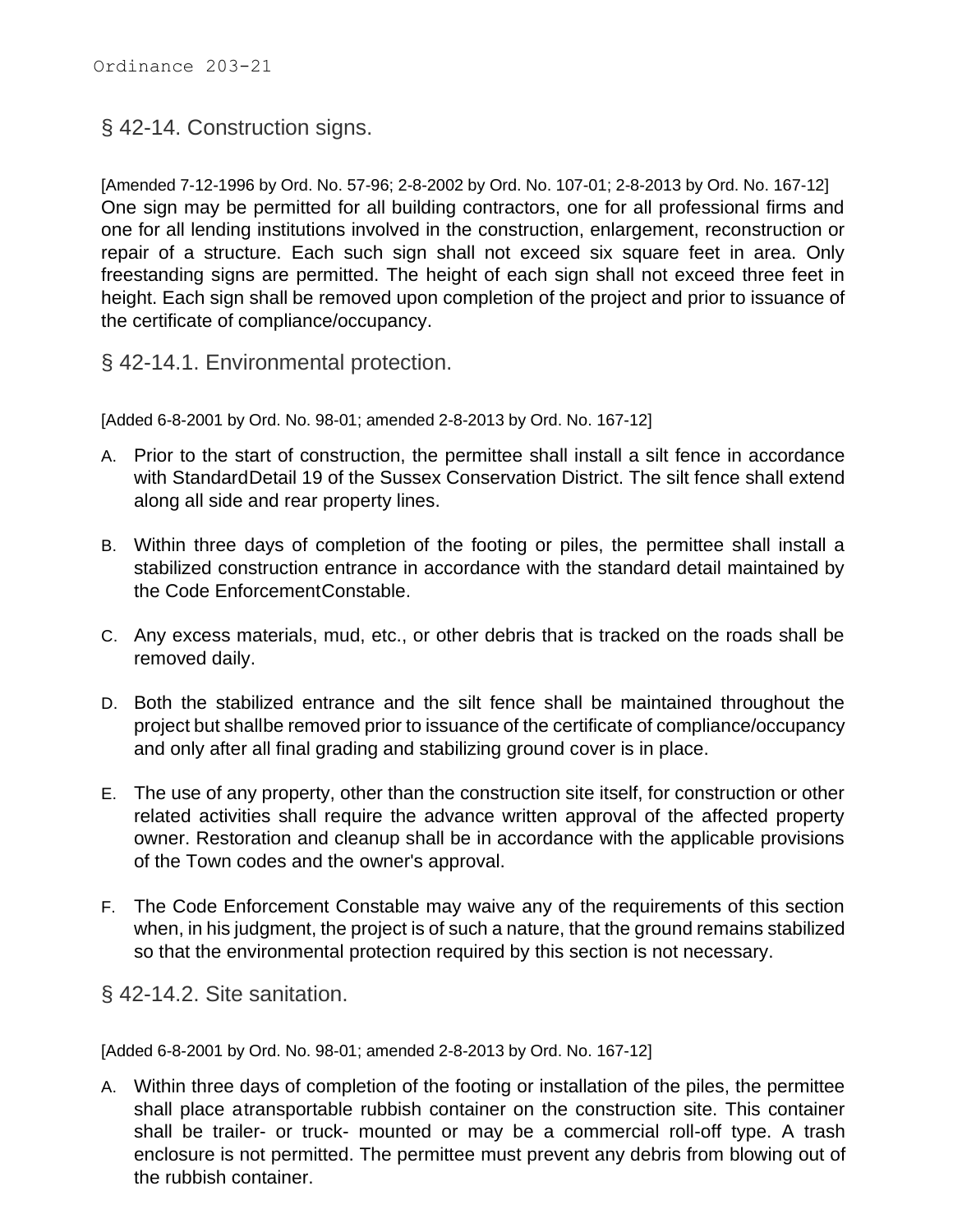§ 42-14. Construction signs.

[Amended 7-12-1996 by Ord. No. 57-96; 2-8-2002 by Ord. No. 107-01; 2-8-2013 by Ord. No. 167-12] One sign may be permitted for all building contractors, one for all professional firms and one for all lending institutions involved in the construction, enlargement, reconstruction or repair of a structure. Each such sign shall not exceed six square feet in area. Only freestanding signs are permitted. The height of each sign shall not exceed three feet in height. Each sign shall be removed upon completion of the project and prior to issuance of the certificate of compliance/occupancy.

§ 42-14.1. Environmental protection.

[Added 6-8-2001 by Ord. No. 98-01; amended 2-8-2013 by Ord. No. 167-12]

- A. Prior to the start of construction, the permittee shall install a silt fence in accordance with StandardDetail 19 of the Sussex Conservation District. The silt fence shall extend along all side and rear property lines.
- B. Within three days of completion of the footing or piles, the permittee shall install a stabilized construction entrance in accordance with the standard detail maintained by the Code EnforcementConstable.
- C. Any excess materials, mud, etc., or other debris that is tracked on the roads shall be removed daily.
- D. Both the stabilized entrance and the silt fence shall be maintained throughout the project but shallbe removed prior to issuance of the certificate of compliance/occupancy and only after all final grading and stabilizing ground cover is in place.
- E. The use of any property, other than the construction site itself, for construction or other related activities shall require the advance written approval of the affected property owner. Restoration and cleanup shall be in accordance with the applicable provisions of the Town codes and the owner's approval.
- F. The Code Enforcement Constable may waive any of the requirements of this section when, in his judgment, the project is of such a nature, that the ground remains stabilized so that the environmental protection required by this section is not necessary.

§ 42-14.2. Site sanitation.

[Added 6-8-2001 by Ord. No. 98-01; amended 2-8-2013 by Ord. No. 167-12]

A. Within three days of completion of the footing or installation of the piles, the permittee shall place atransportable rubbish container on the construction site. This container shall be trailer- or truck- mounted or may be a commercial roll-off type. A trash enclosure is not permitted. The permittee must prevent any debris from blowing out of the rubbish container.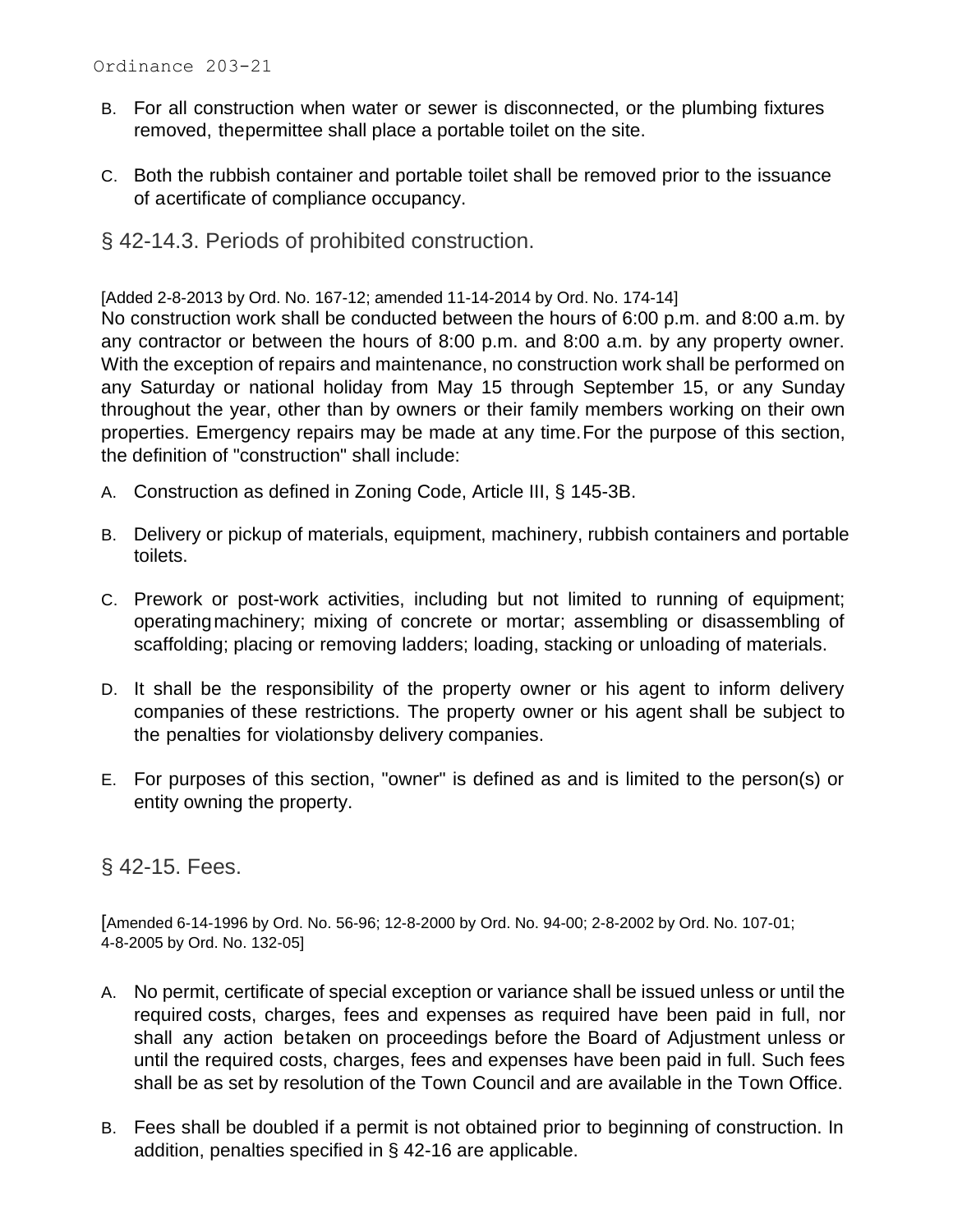- B. For all construction when water or sewer is disconnected, or the plumbing fixtures removed, thepermittee shall place a portable toilet on the site.
- C. Both the rubbish container and portable toilet shall be removed prior to the issuance of acertificate of compliance occupancy.
- § 42-14.3. Periods of prohibited construction.

[Added 2-8-2013 by Ord. No. 167-12; amended 11-14-2014 by Ord. No. 174-14]

No construction work shall be conducted between the hours of 6:00 p.m. and 8:00 a.m. by any contractor or between the hours of 8:00 p.m. and 8:00 a.m. by any property owner. With the exception of repairs and maintenance, no construction work shall be performed on any Saturday or national holiday from May 15 through September 15, or any Sunday throughout the year, other than by owners or their family members working on their own properties. Emergency repairs may be made at any time.For the purpose of this section, the definition of "construction" shall include:

- A. Construction as defined in Zoning Code, Article III, § [145-3B.](https://www.ecode360.com/print/8880643#8880643)
- B. Delivery or pickup of materials, equipment, machinery, rubbish containers and portable toilets.
- C. Prework or post-work activities, including but not limited to running of equipment; operatingmachinery; mixing of concrete or mortar; assembling or disassembling of scaffolding; placing or removing ladders; loading, stacking or unloading of materials.
- D. It shall be the responsibility of the property owner or his agent to inform delivery companies of these restrictions. The property owner or his agent shall be subject to the penalties for violationsby delivery companies.
- E. For purposes of this section, "owner" is defined as and is limited to the person(s) or entity owning the property.

### § 42-15. Fees.

[Amended 6-14-1996 by Ord. No. 56-96; 12-8-2000 by Ord. No. 94-00; 2-8-2002 by Ord. No. 107-01; 4-8-2005 by Ord. No. 132-05]

- A. No permit, certificate of special exception or variance shall be issued unless or until the required costs, charges, fees and expenses as required have been paid in full, nor shall any action betaken on proceedings before the Board of Adjustment unless or until the required costs, charges, fees and expenses have been paid in full. Such fees shall be as set by resolution of the Town Council and are available in the Town Office.
- B. Fees shall be doubled if a permit is not obtained prior to beginning of construction. In addition, penalties specified in § [42-16](https://www.ecode360.com/print/8879868#8879868) are applicable.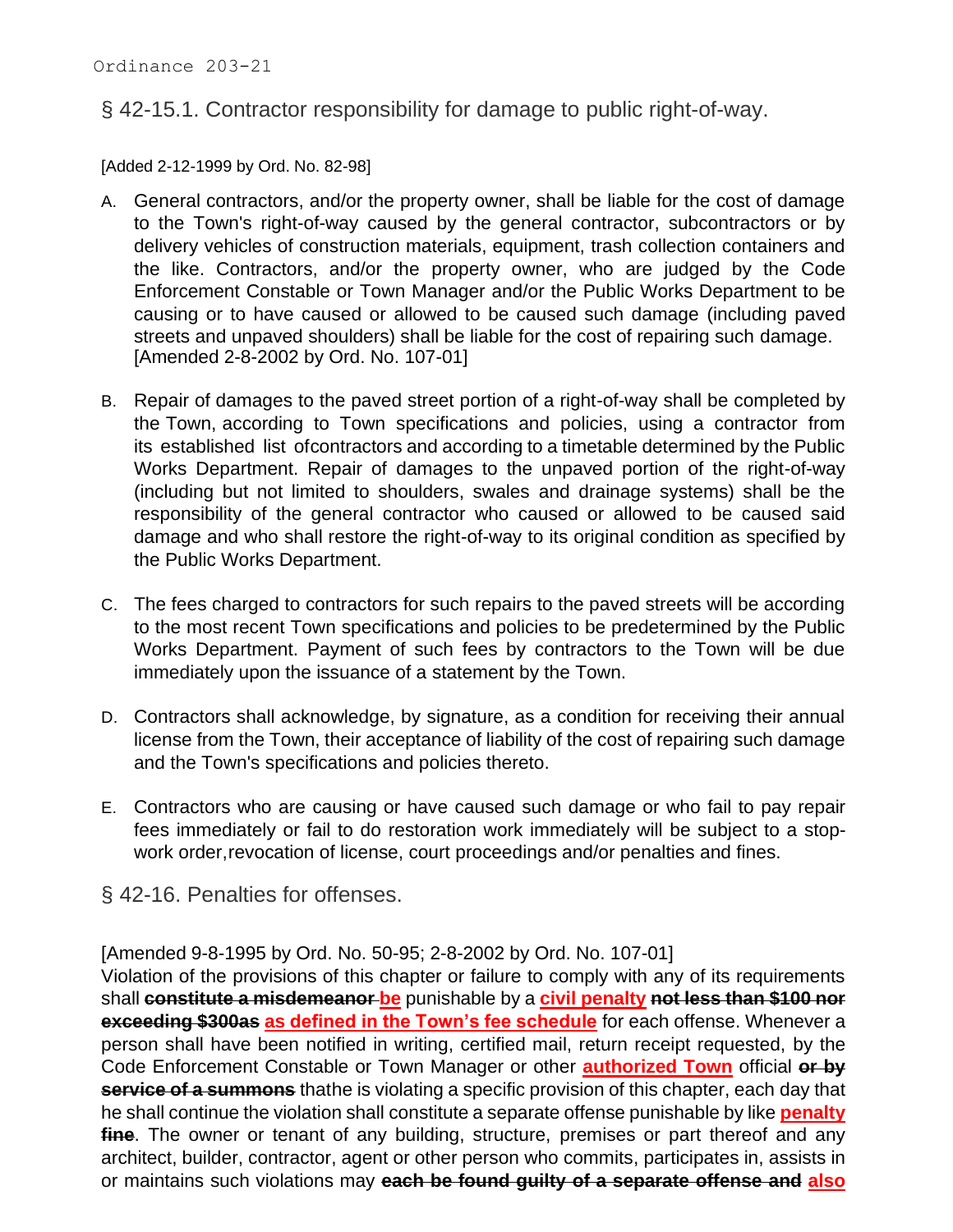## § 42-15.1. Contractor responsibility for damage to public right-of-way.

[Added 2-12-1999 by Ord. No. 82-98]

- A. General contractors, and/or the property owner, shall be liable for the cost of damage to the Town's right-of-way caused by the general contractor, subcontractors or by delivery vehicles of construction materials, equipment, trash collection containers and the like. Contractors, and/or the property owner, who are judged by the Code Enforcement Constable or Town Manager and/or the Public Works Department to be causing or to have caused or allowed to be caused such damage (including paved streets and unpaved shoulders) shall be liable for the cost of repairing such damage. [Amended 2-8-2002 by Ord. No. 107-01]
- B. Repair of damages to the paved street portion of a right-of-way shall be completed by the Town, according to Town specifications and policies, using a contractor from its established list ofcontractors and according to a timetable determined by the Public Works Department. Repair of damages to the unpaved portion of the right-of-way (including but not limited to shoulders, swales and drainage systems) shall be the responsibility of the general contractor who caused or allowed to be caused said damage and who shall restore the right-of-way to its original condition as specified by the Public Works Department.
- C. The fees charged to contractors for such repairs to the paved streets will be according to the most recent Town specifications and policies to be predetermined by the Public Works Department. Payment of such fees by contractors to the Town will be due immediately upon the issuance of a statement by the Town.
- D. Contractors shall acknowledge, by signature, as a condition for receiving their annual license from the Town, their acceptance of liability of the cost of repairing such damage and the Town's specifications and policies thereto.
- E. Contractors who are causing or have caused such damage or who fail to pay repair fees immediately or fail to do restoration work immediately will be subject to a stopwork order, revocation of license, court proceedings and/or penalties and fines.

§ 42-16. Penalties for offenses.

[Amended 9-8-1995 by Ord. No. 50-95; 2-8-2002 by Ord. No. 107-01]

Violation of the provisions of this chapter or failure to comply with any of its requirements shall **constitute a misdemeanor be** punishable by a **civil penalty not less than \$100 nor exceeding \$300as as defined in the Town's fee schedule** for each offense. Whenever a person shall have been notified in writing, certified mail, return receipt requested, by the Code Enforcement Constable or Town Manager or other **authorized Town** official **or by service of a summons** thathe is violating a specific provision of this chapter, each day that he shall continue the violation shall constitute a separate offense punishable by like **penalty** fine. The owner or tenant of any building, structure, premises or part thereof and any architect, builder, contractor, agent or other person who commits, participates in, assists in or maintains such violations may **each be found guilty of a separate offense and also**